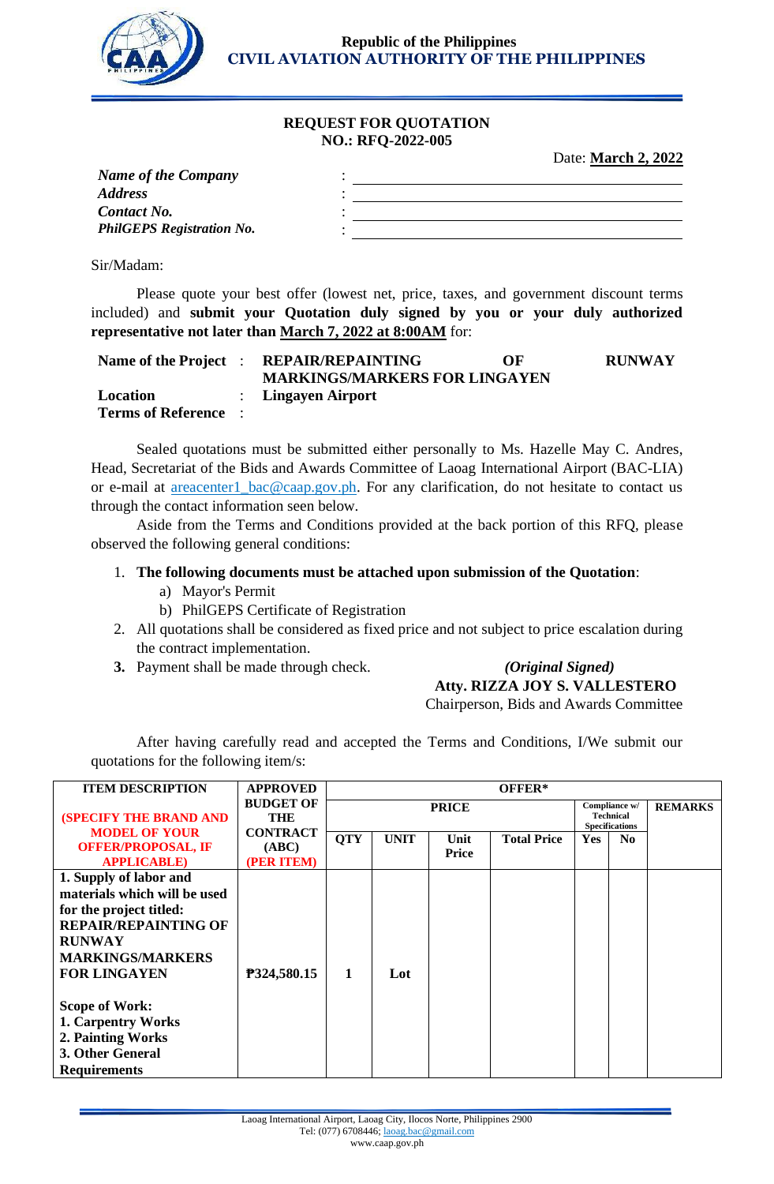

**Republic of the Philippines CIVIL AVIATION AUTHORITY OF THE PHILIPPINES**

# **REQUEST FOR QUOTATION NO.: RFQ-2022-005**

Date: **March 2, 2022**

| <b>Name of the Company</b>       |  |
|----------------------------------|--|
| <b>Address</b>                   |  |
| <b>Contact No.</b>               |  |
| <b>PhilGEPS Registration No.</b> |  |
|                                  |  |

Sir/Madam:

Please quote your best offer (lowest net, price, taxes, and government discount terms included) and **submit your Quotation duly signed by you or your duly authorized representative not later than March 7, 2022 at 8:00AM** for:

| Name of the Project :                   | <b>REPAIR/REPAINTING</b><br><b>MARKINGS/MARKERS FOR LINGAYEN</b> | OF | <b>RUNWAY</b> |
|-----------------------------------------|------------------------------------------------------------------|----|---------------|
| Location<br><b>Terms of Reference</b> : | : Lingayen Airport                                               |    |               |

Sealed quotations must be submitted either personally to Ms. Hazelle May C. Andres, Head, Secretariat of the Bids and Awards Committee of Laoag International Airport (BAC-LIA) or e-mail at **areacenter1\_bac@caap.gov.ph**. For any clarification, do not hesitate to contact us through the contact information seen below.

Aside from the Terms and Conditions provided at the back portion of this RFQ, please observed the following general conditions:

# 1. **The following documents must be attached upon submission of the Quotation**:

- a) Mayor's Permit
- b) PhilGEPS Certificate of Registration
- 2. All quotations shall be considered as fixed price and not subject to price escalation during the contract implementation.
- **3.** Payment shall be made through check. *(Original Signed)*

# **Atty. RIZZA JOY S. VALLESTERO**

Chairperson, Bids and Awards Committee

After having carefully read and accepted the Terms and Conditions, I/We submit our quotations for the following item/s:

| <b>ITEM DESCRIPTION</b>                                                                        | <b>APPROVED</b>                        | OFFER*     |                                                                            |  |  |            |                |  |  |
|------------------------------------------------------------------------------------------------|----------------------------------------|------------|----------------------------------------------------------------------------|--|--|------------|----------------|--|--|
| <b>(SPECIFY THE BRAND AND</b>                                                                  | <b>BUDGET OF</b><br>THE                |            | Compliance w/<br><b>PRICE</b><br><b>Technical</b><br><b>Specifications</b> |  |  |            | <b>REMARKS</b> |  |  |
| <b>MODEL OF YOUR</b><br><b>OFFER/PROPOSAL, IF</b><br><b>APPLICABLE</b> )                       | <b>CONTRACT</b><br>(ABC)<br>(PER ITEM) | <b>QTY</b> | <b>UNIT</b><br><b>Total Price</b><br>Unit<br>Price                         |  |  | <b>Yes</b> | N <sub>0</sub> |  |  |
| 1. Supply of labor and<br>materials which will be used<br>for the project titled:              |                                        |            |                                                                            |  |  |            |                |  |  |
| <b>REPAIR/REPAINTING OF</b><br><b>RUNWAY</b><br><b>MARKINGS/MARKERS</b><br><b>FOR LINGAYEN</b> | P324,580.15                            | 1          | Lot                                                                        |  |  |            |                |  |  |
| <b>Scope of Work:</b>                                                                          |                                        |            |                                                                            |  |  |            |                |  |  |
| <b>1. Carpentry Works</b><br>2. Painting Works<br>3. Other General<br><b>Requirements</b>      |                                        |            |                                                                            |  |  |            |                |  |  |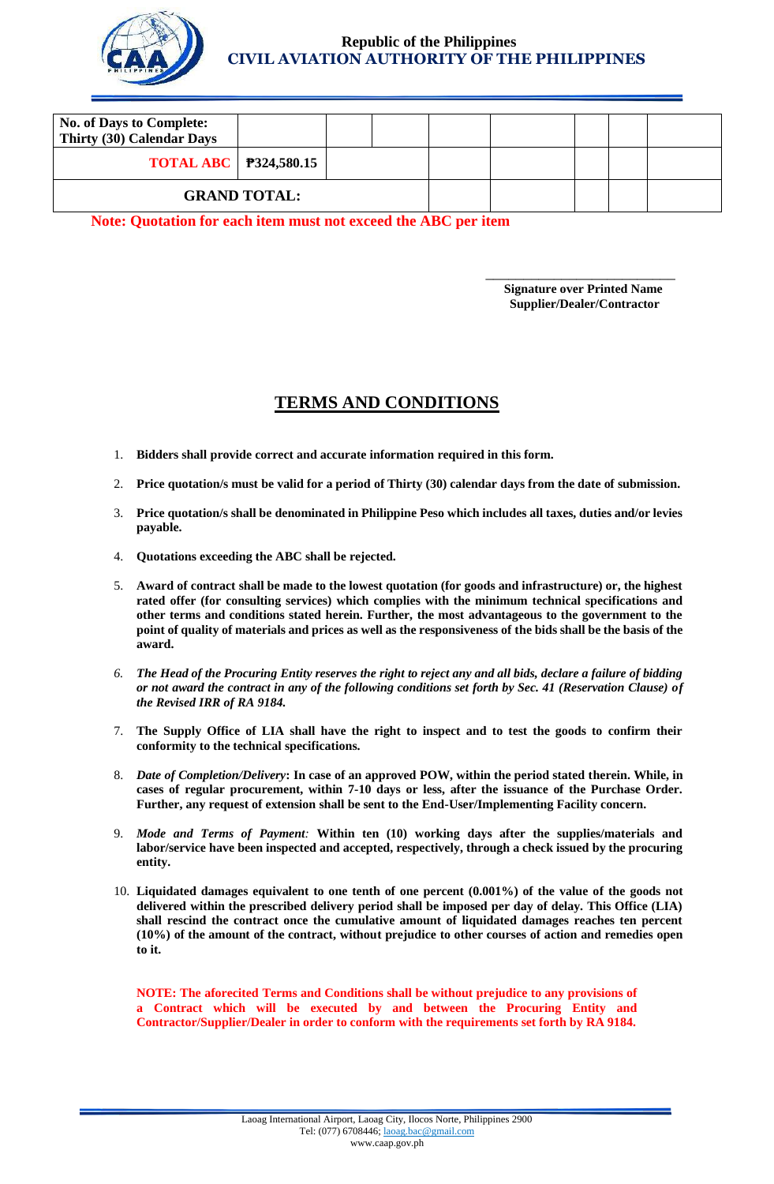

# **Republic of the Philippines CIVIL AVIATION AUTHORITY OF THE PHILIPPINES**

| <b>No. of Days to Complete:</b><br>Thirty (30) Calendar Days |  |  |  |  |  |  |
|--------------------------------------------------------------|--|--|--|--|--|--|
| <b>TOTAL ABC</b>   <b>P324,580.15</b>                        |  |  |  |  |  |  |
| <b>GRAND TOTAL:</b>                                          |  |  |  |  |  |  |

 $\overline{\phantom{a}}$  , and the contract of the contract of the contract of the contract of the contract of the contract of the contract of the contract of the contract of the contract of the contract of the contract of the contrac

**Note: Quotation for each item must not exceed the ABC per item**

**Signature over Printed Name Supplier/Dealer/Contractor**

# **TERMS AND CONDITIONS**

- 1. **Bidders shall provide correct and accurate information required in this form.**
- 2. **Price quotation/s must be valid for a period of Thirty (30) calendar days from the date of submission.**
- 3. **Price quotation/s shall be denominated in Philippine Peso which includes all taxes, duties and/or levies payable.**
- 4. **Quotations exceeding the ABC shall be rejected.**
- 5. **Award of contract shall be made to the lowest quotation (for goods and infrastructure) or, the highest rated offer (for consulting services) which complies with the minimum technical specifications and other terms and conditions stated herein. Further, the most advantageous to the government to the point of quality of materials and prices as well as the responsiveness of the bids shall be the basis of the award.**
- *6. The Head of the Procuring Entity reserves the right to reject any and all bids, declare a failure of bidding or not award the contract in any of the following conditions set forth by Sec. 41 (Reservation Clause) of the Revised IRR of RA 9184.*
- 7. **The Supply Office of LIA shall have the right to inspect and to test the goods to confirm their conformity to the technical specifications.**
- 8. *Date of Completion/Delivery***: In case of an approved POW, within the period stated therein. While, in cases of regular procurement, within 7-10 days or less, after the issuance of the Purchase Order. Further, any request of extension shall be sent to the End-User/Implementing Facility concern.**
- 9. *Mode and Terms of Payment:* **Within ten (10) working days after the supplies/materials and labor/service have been inspected and accepted, respectively, through a check issued by the procuring entity.**
- 10. **Liquidated damages equivalent to one tenth of one percent (0.001%) of the value of the goods not delivered within the prescribed delivery period shall be imposed per day of delay. This Office (LIA) shall rescind the contract once the cumulative amount of liquidated damages reaches ten percent (10%) of the amount of the contract, without prejudice to other courses of action and remedies open to it.**

**NOTE: The aforecited Terms and Conditions shall be without prejudice to any provisions of a Contract which will be executed by and between the Procuring Entity and Contractor/Supplier/Dealer in order to conform with the requirements set forth by RA 9184.**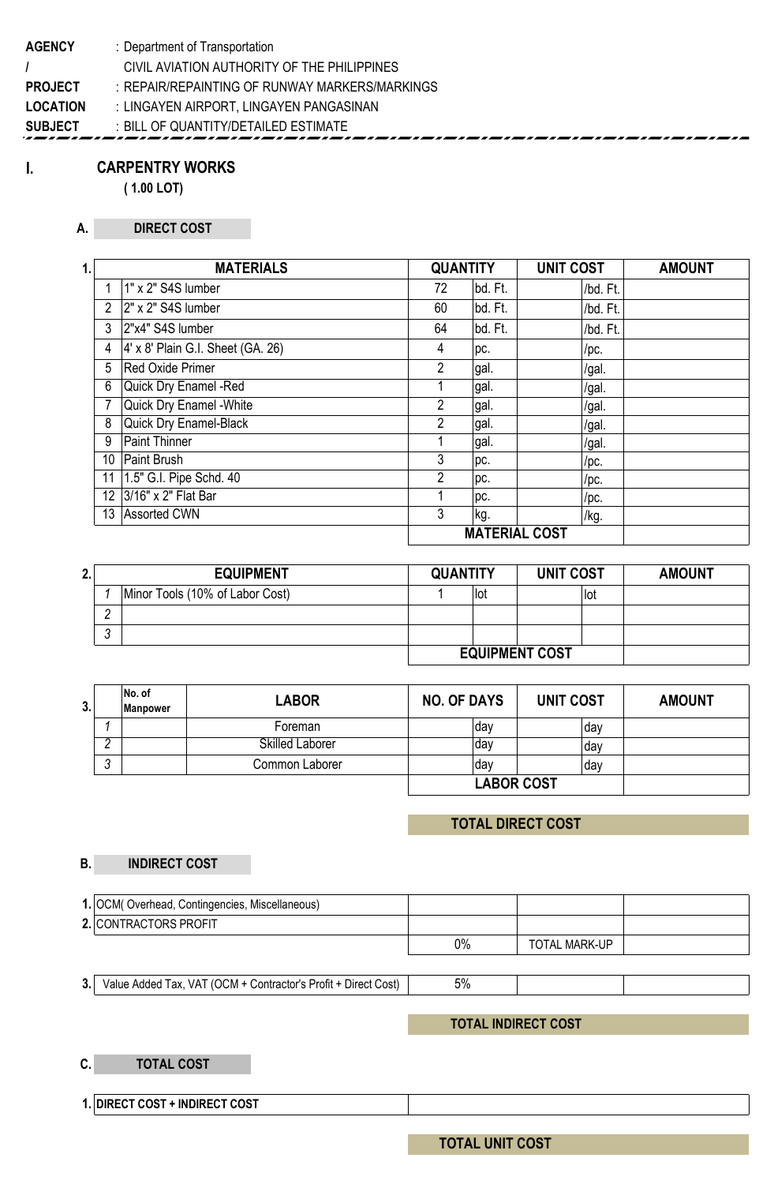**AGENCY** : Department of Transportation **/** CIVIL AVIATION AUTHORITY OF THE PHILIPPINES **PROJECT** : **LOCATION** : **SUBJECT** : BILL OF QUANTITY/DETAILED ESTIMATE REPAIR/REPAINTING OF RUNWAY MARKERS/MARKINGS : LINGAYEN AIRPORT, LINGAYEN PANGASINAN

# **CARPENTRY WORKS**

**I.**

**( 1.00 LOT)**

#### **A. DIRECT COST**

| 1.,            | <b>MATERIALS</b>                         |                | <b>QUANTITY</b>      | <b>UNIT COST</b> | <b>AMOUNT</b> |
|----------------|------------------------------------------|----------------|----------------------|------------------|---------------|
|                | 1" x 2" S4S lumber                       | 72             | bd. Ft.              | /bd. Ft.         |               |
| $\overline{2}$ | 2" x 2" S4S lumber                       | 60             | bd. Ft.              | /bd. Ft.         |               |
| 3              | 2"x4" S4S lumber                         | 64             | bd. Ft.              | /bd. Ft.         |               |
| 4              | $4' \times 8'$ Plain G.I. Sheet (GA. 26) | 4              | pc.                  | /рс.             |               |
| 5              | <b>Red Oxide Primer</b>                  | $\overline{2}$ | gal.                 | /gal.            |               |
| 6              | Quick Dry Enamel -Red                    |                | gal.                 | /gal.            |               |
|                | <b>Quick Dry Enamel - White</b>          | 2              | gal.                 | /gal.            |               |
| 8              | <b>Quick Dry Enamel-Black</b>            | 2              | gal.                 | /gal.            |               |
| 9              | <b>Paint Thinner</b>                     |                | gal.                 | /gal.            |               |
| 10             | Paint Brush                              | 3              | pc.                  | /рс.             |               |
| 11             | 1.5" G.I. Pipe Schd. 40                  | 2              | pc.                  | /pc.             |               |
| 12             | 3/16" x 2" Flat Bar                      |                | pc.                  | /рс.             |               |
| 13             | <b>Assorted CWN</b>                      | 3              | kg.                  | /kg.             |               |
|                |                                          |                | <b>MATERIAL COST</b> |                  |               |

| 2. |                       | <b>EQUIPMENT</b>                |  | <b>UNIT COST</b><br><b>QUANTITY</b> |  |      | <b>AMOUNT</b> |
|----|-----------------------|---------------------------------|--|-------------------------------------|--|------|---------------|
|    |                       | Minor Tools (10% of Labor Cost) |  | !lot                                |  | ∣lot |               |
|    |                       |                                 |  |                                     |  |      |               |
|    | r                     |                                 |  |                                     |  |      |               |
|    | <b>EQUIPMENT COST</b> |                                 |  |                                     |  |      |               |

| 3. |                 | No. of<br><b>Manpower</b> | <b>LABOR</b>           | <b>NO. OF DAYS</b> | UNIT COST | <b>AMOUNT</b> |
|----|-----------------|---------------------------|------------------------|--------------------|-----------|---------------|
|    |                 |                           | Foreman                | ∣dav               | day       |               |
|    |                 |                           | <b>Skilled Laborer</b> | ∣dav               | dav       |               |
|    | $\sqrt{2}$<br>v |                           | Common Laborer         | dav                | dav       |               |
|    |                 |                           |                        | <b>LABOR COST</b>  |           |               |

# **TOTAL DIRECT COST**

#### **B. INDIRECT COST**

| 1. OCM(Overhead, Contingencies, Miscellaneous) |       |                      |  |
|------------------------------------------------|-------|----------------------|--|
| 2. CONTRACTORS PROFIT                          |       |                      |  |
|                                                | $0\%$ | <b>TOTAL MARK-UP</b> |  |

**3.** Value Added Tax, VAT (OCM + Contractor's Profit + Direct Cost) | 5%

### **TOTAL INDIRECT COST**

#### **C. TOTAL COST**

**1. DIRECT COST + INDIRECT COST**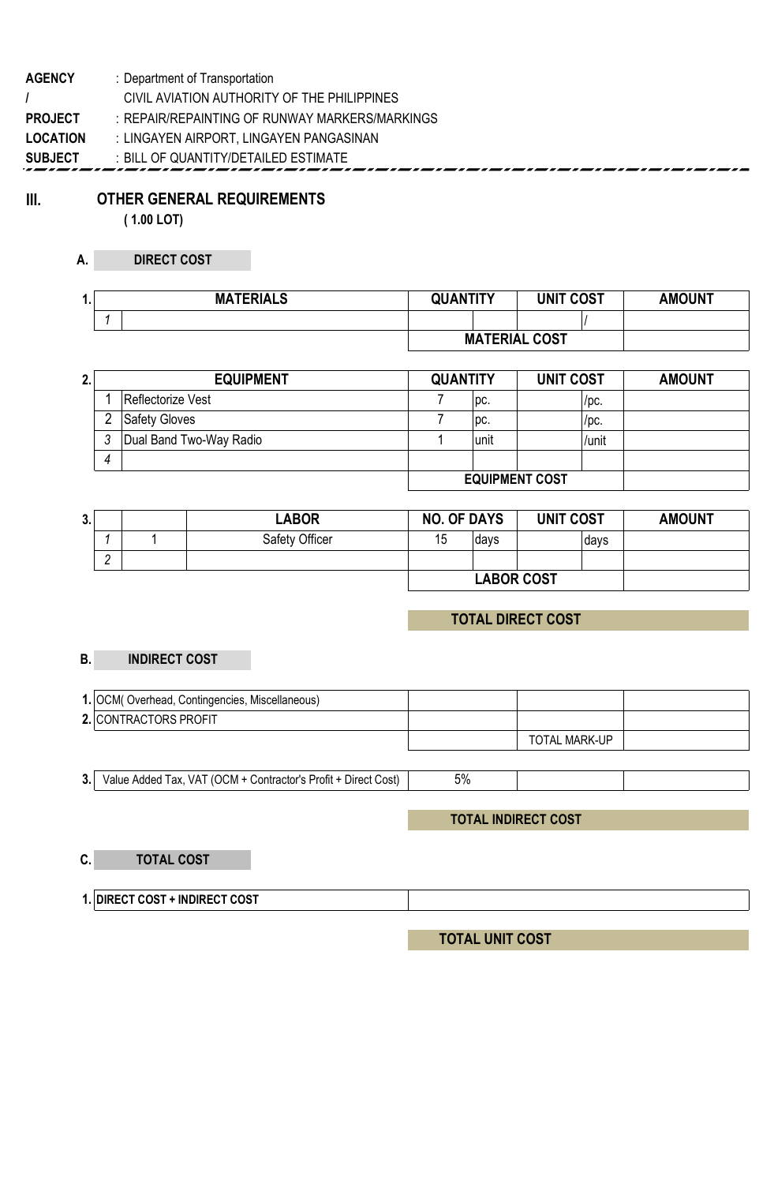| : Department of Transportation                 |
|------------------------------------------------|
| CIVIL AVIATION AUTHORITY OF THE PHILIPPINES    |
| : REPAIR/REPAINTING OF RUNWAY MARKERS/MARKINGS |
| : LINGAYEN AIRPORT, LINGAYEN PANGASINAN        |
| : BILL OF QUANTITY/DETAILED ESTIMATE           |
|                                                |

**III. OTHER GENERAL REQUIREMENTS**

**( 1.00 LOT)**

### **A. DIRECT COST**

| я.<br> | <b>MATERIALS</b> | <b>QUANTITY</b>      | <b>UNIT COST</b> | <b>AMOUNT</b> |
|--------|------------------|----------------------|------------------|---------------|
|        |                  |                      |                  |               |
|        |                  | <b>MATERIAL COST</b> |                  |               |

| 2. | <b>EQUIPMENT</b>        |  | <b>QUANTITY</b> | <b>UNIT COST</b> | <b>AMOUNT</b> |
|----|-------------------------|--|-----------------|------------------|---------------|
|    | Reflectorize Vest       |  | $ {\rm pc} $    | /pc.             |               |
|    | <b>Safety Gloves</b>    |  | DC.             | /pc.             |               |
|    | Dual Band Two-Way Radio |  | unit            | /unit            |               |
| 4  |                         |  |                 |                  |               |
|    |                         |  |                 |                  |               |

| 3. |   | <b>LABOR</b>   | <b>NO. OF DAYS</b> |                   | <b>UNIT COST</b> | <b>AMOUNT</b> |
|----|---|----------------|--------------------|-------------------|------------------|---------------|
|    |   | Safety Officer | 15                 | davs              | davs             |               |
|    | ◠ |                |                    |                   |                  |               |
|    |   |                |                    | <b>LABOR COST</b> |                  |               |

# **TOTAL DIRECT COST**

#### **B. INDIRECT COST**

| 1. OCM(Overhead, Contingencies, Miscellaneous) |               |  |
|------------------------------------------------|---------------|--|
| 2. CONTRACTORS PROFIT                          |               |  |
|                                                | TOTAL MARK-UP |  |

**3.** Value Added Tax, VAT (OCM + Contractor's Profit + Direct Cost) | 5%

# **TOTAL INDIRECT COST**

### **C. TOTAL COST**

**1. DIRECT COST + INDIRECT COST**

**TOTAL UNIT COST**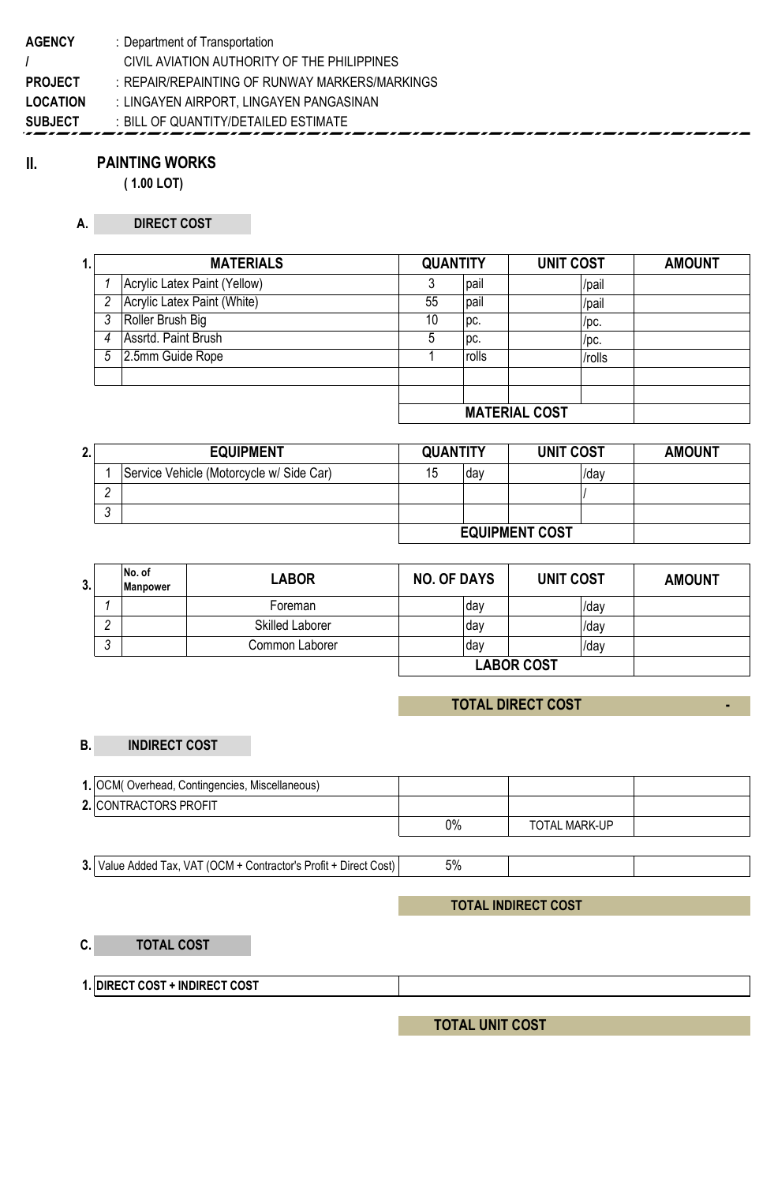### **II. PAINTING WORKS**

**( 1.00 LOT)**

### **A. DIRECT COST**

| 1. |   | <b>MATERIALS</b>             | <b>QUANTITY</b> |       | <b>UNIT COST</b>     | <b>AMOUNT</b> |
|----|---|------------------------------|-----------------|-------|----------------------|---------------|
|    |   | Acrylic Latex Paint (Yellow) |                 | pail  | /pail                |               |
|    |   | Acrylic Latex Paint (White)  | 55              | pail  | /pail                |               |
|    | 3 | Roller Brush Big             | 10              | DC.   | /pc.                 |               |
|    | 4 | Assrtd. Paint Brush          |                 | DC.   | $/$ pc.              |               |
|    | 5 | 2.5mm Guide Rope             |                 | rolls | /rolls               |               |
|    |   |                              |                 |       |                      |               |
|    |   |                              |                 |       |                      |               |
|    |   |                              |                 |       | <b>MATEDIAL COST</b> |               |

**MATERIAL COST**

| Ζ. | <b>EQUIPMENT</b> |                                          | <b>QUANTITY</b> |                       | UNIT COST | <b>AMOUNT</b> |
|----|------------------|------------------------------------------|-----------------|-----------------------|-----------|---------------|
|    |                  | Service Vehicle (Motorcycle w/ Side Car) | dav             |                       | /dav      |               |
|    |                  |                                          |                 |                       |           |               |
|    | $\sim$           |                                          |                 |                       |           |               |
|    |                  |                                          |                 | <b>EQUIPMENT COST</b> |           |               |

| 3. |   | No. of<br>Manpower | <b>LABOR</b>           | <b>NO. OF DAYS</b> | UNIT COST         | <b>AMOUNT</b> |
|----|---|--------------------|------------------------|--------------------|-------------------|---------------|
|    |   |                    | Foreman                | day                | /day              |               |
|    |   |                    | <b>Skilled Laborer</b> | dav                | /day              |               |
|    | u |                    | Common Laborer         | dav                | /day              |               |
|    |   |                    |                        |                    | <b>LABOR COST</b> |               |

# **TOTAL DIRECT COST**

 **-**

### **B. INDIRECT COST**

| 1. OCM(Overhead, Contingencies, Miscellaneous) |       |                      |  |
|------------------------------------------------|-------|----------------------|--|
| 2. CONTRACTORS PROFIT                          |       |                      |  |
|                                                | $0\%$ | <b>TOTAL MARK-UP</b> |  |

**3.** Value Added Tax, VAT (OCM + Contractor's Profit + Direct Cost) | 5%

# **TOTAL INDIRECT COST**

**C. TOTAL COST**

**1. DIRECT COST + INDIRECT COST**

**TOTAL UNIT COST**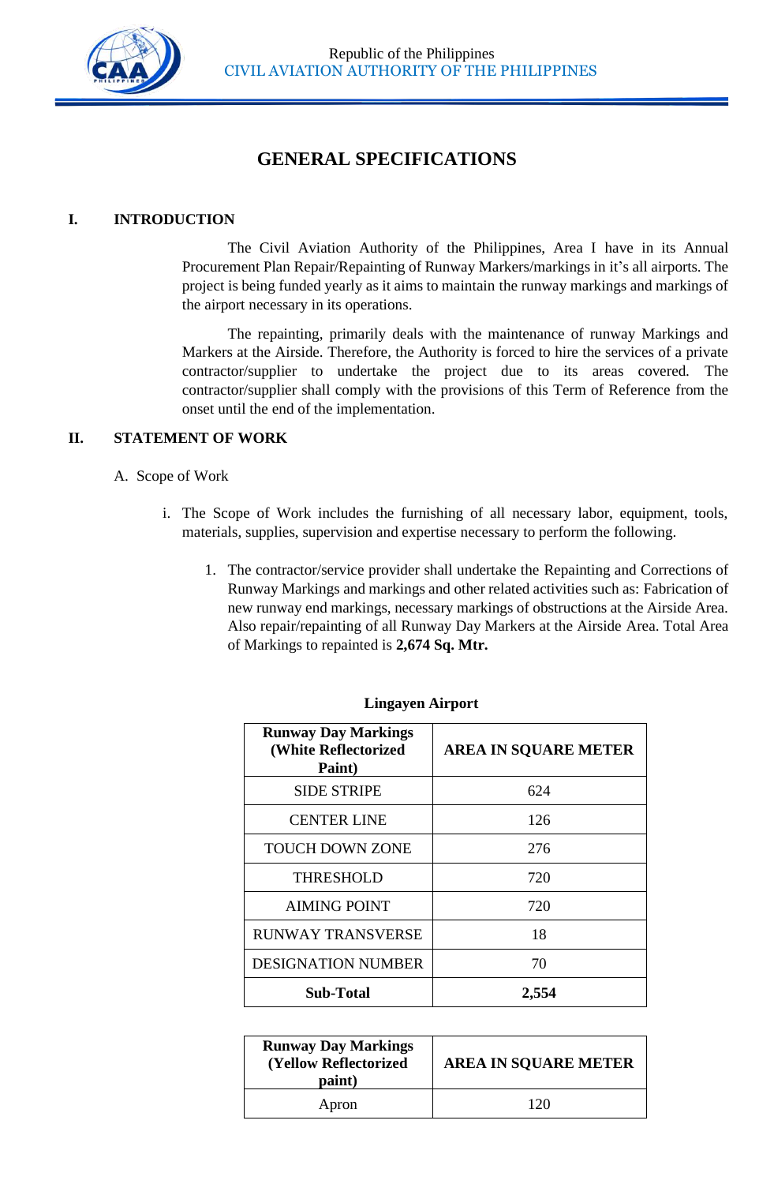

# **GENERAL SPECIFICATIONS**

# **I. INTRODUCTION**

The Civil Aviation Authority of the Philippines, Area I have in its Annual Procurement Plan Repair/Repainting of Runway Markers/markings in it's all airports. The project is being funded yearly as it aims to maintain the runway markings and markings of the airport necessary in its operations.

The repainting, primarily deals with the maintenance of runway Markings and Markers at the Airside. Therefore, the Authority is forced to hire the services of a private contractor/supplier to undertake the project due to its areas covered. The contractor/supplier shall comply with the provisions of this Term of Reference from the onset until the end of the implementation.

# **II. STATEMENT OF WORK**

# A. Scope of Work

- i. The Scope of Work includes the furnishing of all necessary labor, equipment, tools, materials, supplies, supervision and expertise necessary to perform the following.
	- 1. The contractor/service provider shall undertake the Repainting and Corrections of Runway Markings and markings and other related activities such as: Fabrication of new runway end markings, necessary markings of obstructions at the Airside Area. Also repair/repainting of all Runway Day Markers at the Airside Area. Total Area of Markings to repainted is **2,674 Sq. Mtr.**

| <b>Runway Day Markings</b><br>(White Reflectorized<br>Paint) | <b>AREA IN SQUARE METER</b> |
|--------------------------------------------------------------|-----------------------------|
| <b>SIDE STRIPE</b>                                           | 624                         |
| <b>CENTER LINE</b>                                           | 126                         |
| <b>TOUCH DOWN ZONE</b>                                       | 276                         |
| <b>THRESHOLD</b>                                             | 720                         |
| <b>AIMING POINT</b>                                          | 720                         |
| <b>RUNWAY TRANSVERSE</b>                                     | 18                          |
| <b>DESIGNATION NUMBER</b>                                    | 70                          |
| <b>Sub-Total</b>                                             | 2,554                       |

### **Lingayen Airport**

| <b>Runway Day Markings</b><br>(Yellow Reflectorized<br>paint) | <b>AREA IN SQUARE METER</b> |
|---------------------------------------------------------------|-----------------------------|
| Apron                                                         | 120                         |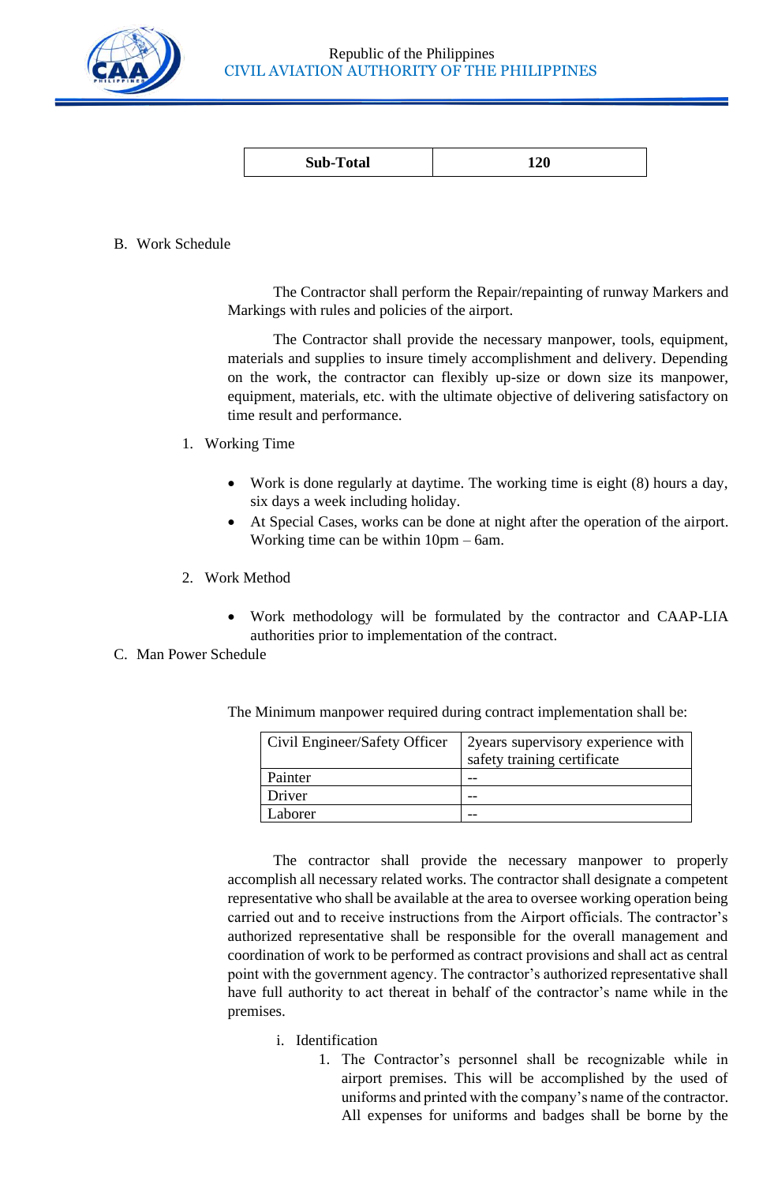

| <b>Sub-Total</b> | $\sim$<br>LZU |
|------------------|---------------|
|------------------|---------------|

# B. Work Schedule

The Contractor shall perform the Repair/repainting of runway Markers and Markings with rules and policies of the airport.

The Contractor shall provide the necessary manpower, tools, equipment, materials and supplies to insure timely accomplishment and delivery. Depending on the work, the contractor can flexibly up-size or down size its manpower, equipment, materials, etc. with the ultimate objective of delivering satisfactory on time result and performance.

- 1. Working Time
	- Work is done regularly at daytime. The working time is eight (8) hours a day, six days a week including holiday.
	- At Special Cases, works can be done at night after the operation of the airport. Working time can be within 10pm – 6am.
- 2. Work Method
	- Work methodology will be formulated by the contractor and CAAP-LIA authorities prior to implementation of the contract.

# C. Man Power Schedule

| Civil Engineer/Safety Officer | 2 years supervisory experience with<br>safety training certificate |
|-------------------------------|--------------------------------------------------------------------|
| Painter                       |                                                                    |
| Driver                        |                                                                    |
| Laborer                       |                                                                    |

The Minimum manpower required during contract implementation shall be:

The contractor shall provide the necessary manpower to properly accomplish all necessary related works. The contractor shall designate a competent representative who shall be available at the area to oversee working operation being carried out and to receive instructions from the Airport officials. The contractor's authorized representative shall be responsible for the overall management and coordination of work to be performed as contract provisions and shall act as central point with the government agency. The contractor's authorized representative shall have full authority to act thereat in behalf of the contractor's name while in the premises.

# i. Identification

1. The Contractor's personnel shall be recognizable while in airport premises. This will be accomplished by the used of uniforms and printed with the company's name of the contractor. All expenses for uniforms and badges shall be borne by the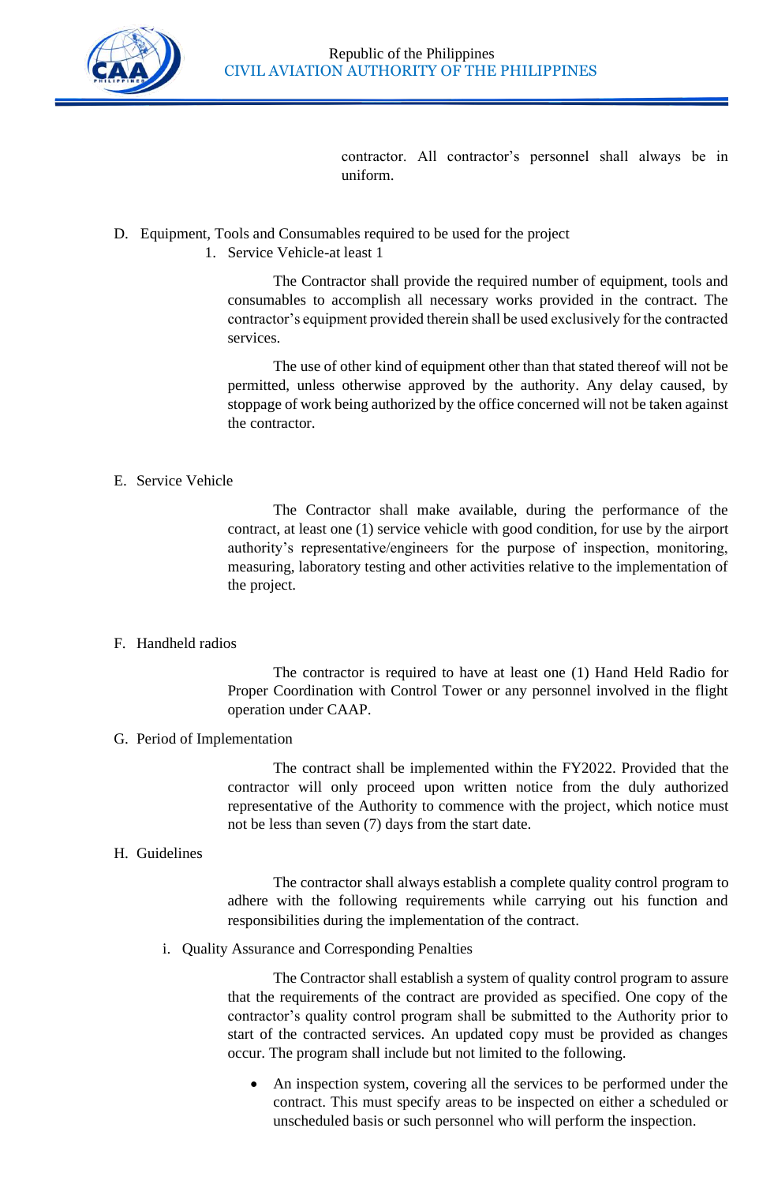

contractor. All contractor's personnel shall always be in uniform.

# D. Equipment, Tools and Consumables required to be used for the project

1. Service Vehicle-at least 1

The Contractor shall provide the required number of equipment, tools and consumables to accomplish all necessary works provided in the contract. The contractor's equipment provided therein shall be used exclusively for the contracted services.

The use of other kind of equipment other than that stated thereof will not be permitted, unless otherwise approved by the authority. Any delay caused, by stoppage of work being authorized by the office concerned will not be taken against the contractor.

# E. Service Vehicle

The Contractor shall make available, during the performance of the contract, at least one (1) service vehicle with good condition, for use by the airport authority's representative/engineers for the purpose of inspection, monitoring, measuring, laboratory testing and other activities relative to the implementation of the project.

# F. Handheld radios

The contractor is required to have at least one (1) Hand Held Radio for Proper Coordination with Control Tower or any personnel involved in the flight operation under CAAP.

# G. Period of Implementation

The contract shall be implemented within the FY2022. Provided that the contractor will only proceed upon written notice from the duly authorized representative of the Authority to commence with the project, which notice must not be less than seven (7) days from the start date.

# H. Guidelines

The contractor shall always establish a complete quality control program to adhere with the following requirements while carrying out his function and responsibilities during the implementation of the contract.

i. Quality Assurance and Corresponding Penalties

The Contractor shall establish a system of quality control program to assure that the requirements of the contract are provided as specified. One copy of the contractor's quality control program shall be submitted to the Authority prior to start of the contracted services. An updated copy must be provided as changes occur. The program shall include but not limited to the following.

• An inspection system, covering all the services to be performed under the contract. This must specify areas to be inspected on either a scheduled or unscheduled basis or such personnel who will perform the inspection.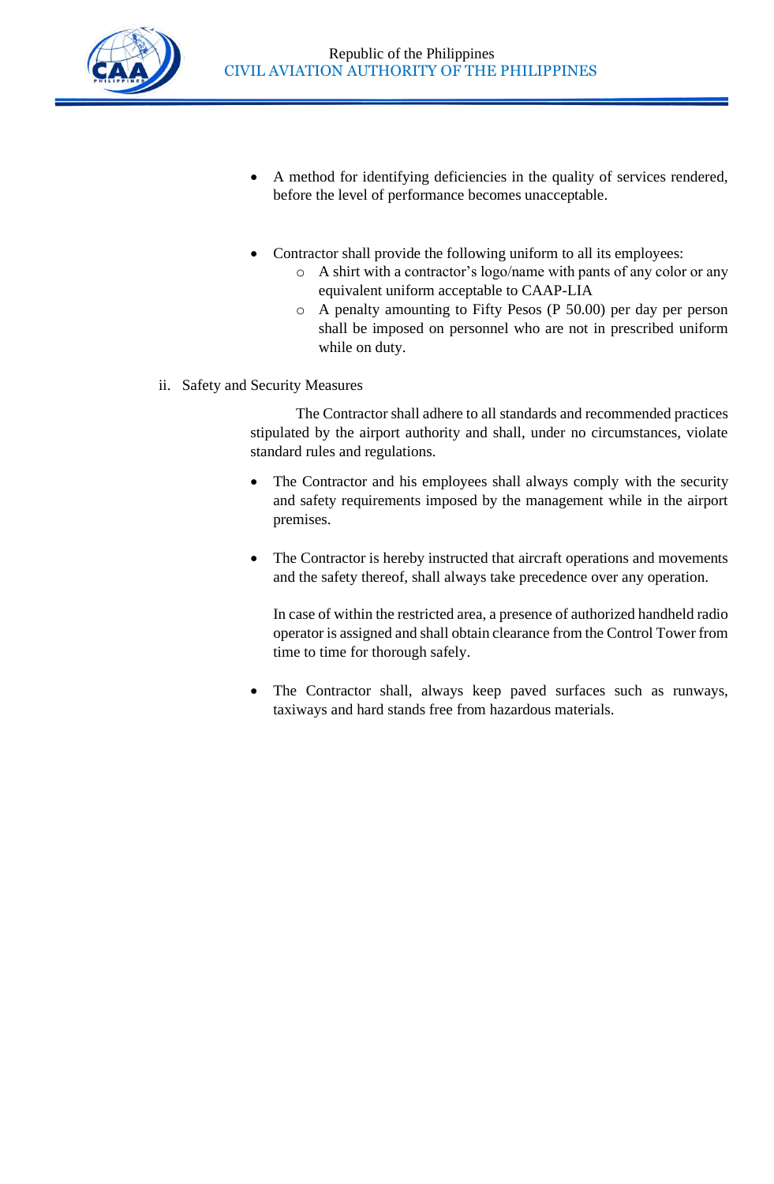

- A method for identifying deficiencies in the quality of services rendered, before the level of performance becomes unacceptable.
- Contractor shall provide the following uniform to all its employees:
	- o A shirt with a contractor's logo/name with pants of any color or any equivalent uniform acceptable to CAAP-LIA
	- o A penalty amounting to Fifty Pesos (P 50.00) per day per person shall be imposed on personnel who are not in prescribed uniform while on duty.
- ii. Safety and Security Measures

The Contractor shall adhere to all standards and recommended practices stipulated by the airport authority and shall, under no circumstances, violate standard rules and regulations.

- The Contractor and his employees shall always comply with the security and safety requirements imposed by the management while in the airport premises.
- The Contractor is hereby instructed that aircraft operations and movements and the safety thereof, shall always take precedence over any operation.

In case of within the restricted area, a presence of authorized handheld radio operator is assigned and shall obtain clearance from the Control Tower from time to time for thorough safely.

• The Contractor shall, always keep paved surfaces such as runways, taxiways and hard stands free from hazardous materials.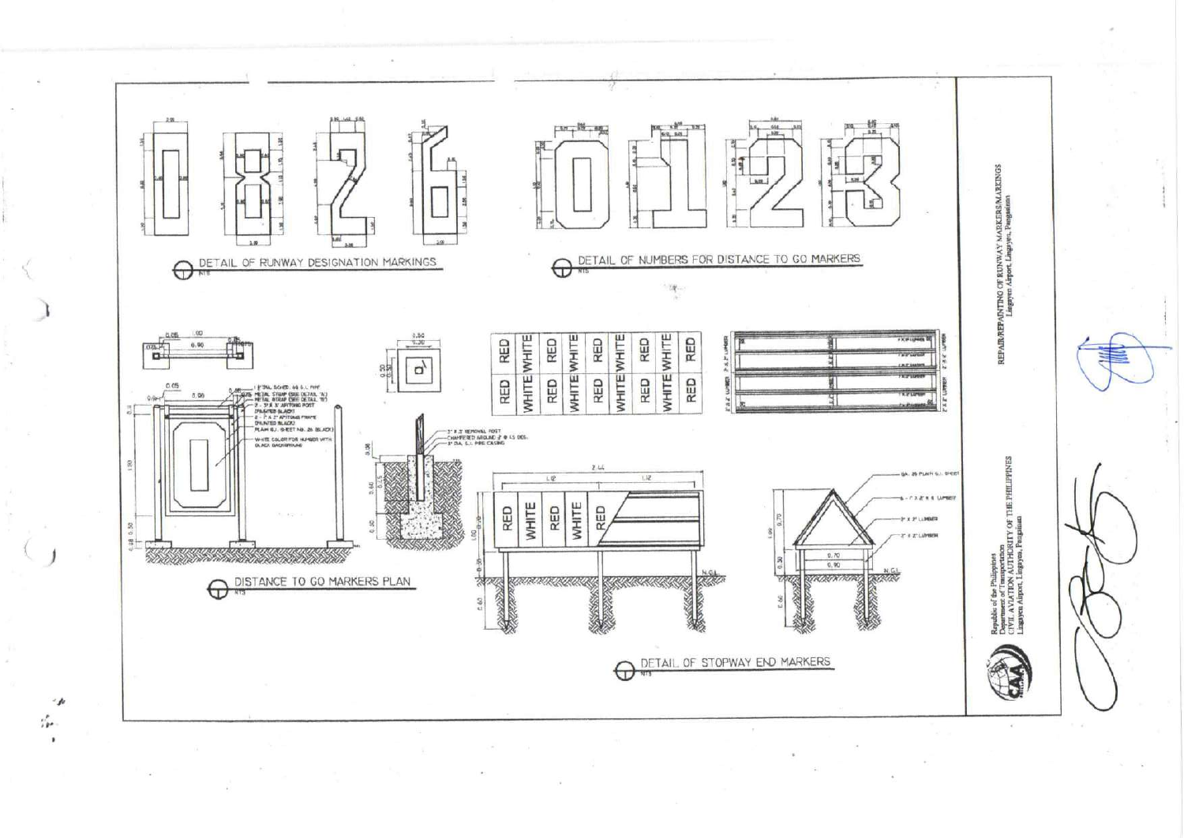

 $\frac{\partial}{\partial P}$ 

٠